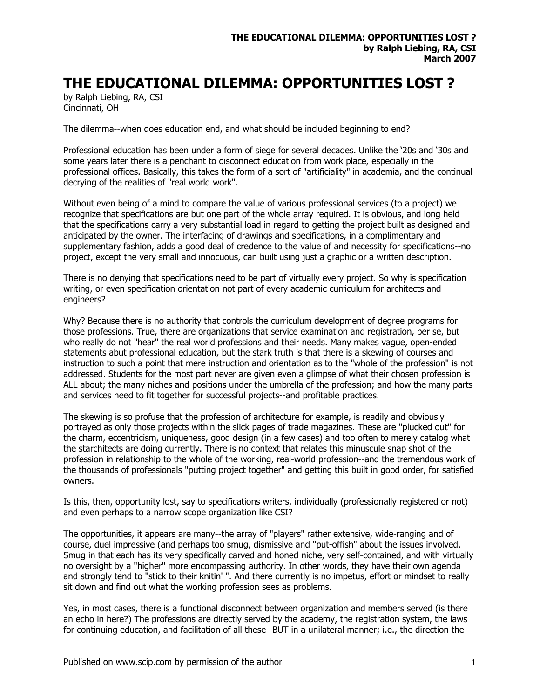## **THE EDUCATIONAL DILEMMA: OPPORTUNITIES LOST ?**

by Ralph Liebing, RA, CSI Cincinnati, OH

The dilemma--when does education end, and what should be included beginning to end?

Professional education has been under a form of siege for several decades. Unlike the '20s and '30s and some years later there is a penchant to disconnect education from work place, especially in the professional offices. Basically, this takes the form of a sort of "artificiality" in academia, and the continual decrying of the realities of "real world work".

Without even being of a mind to compare the value of various professional services (to a project) we recognize that specifications are but one part of the whole array required. It is obvious, and long held that the specifications carry a very substantial load in regard to getting the project built as designed and anticipated by the owner. The interfacing of drawings and specifications, in a complimentary and supplementary fashion, adds a good deal of credence to the value of and necessity for specifications--no project, except the very small and innocuous, can built using just a graphic or a written description.

There is no denying that specifications need to be part of virtually every project. So why is specification writing, or even specification orientation not part of every academic curriculum for architects and engineers?

Why? Because there is no authority that controls the curriculum development of degree programs for those professions. True, there are organizations that service examination and registration, per se, but who really do not "hear" the real world professions and their needs. Many makes vague, open-ended statements abut professional education, but the stark truth is that there is a skewing of courses and instruction to such a point that mere instruction and orientation as to the "whole of the profession" is not addressed. Students for the most part never are given even a glimpse of what their chosen profession is ALL about; the many niches and positions under the umbrella of the profession; and how the many parts and services need to fit together for successful projects--and profitable practices.

The skewing is so profuse that the profession of architecture for example, is readily and obviously portrayed as only those projects within the slick pages of trade magazines. These are "plucked out" for the charm, eccentricism, uniqueness, good design (in a few cases) and too often to merely catalog what the starchitects are doing currently. There is no context that relates this minuscule snap shot of the profession in relationship to the whole of the working, real-world profession--and the tremendous work of the thousands of professionals "putting project together" and getting this built in good order, for satisfied owners.

Is this, then, opportunity lost, say to specifications writers, individually (professionally registered or not) and even perhaps to a narrow scope organization like CSI?

The opportunities, it appears are many--the array of "players" rather extensive, wide-ranging and of course, duel impressive (and perhaps too smug, dismissive and "put-offish" about the issues involved. Smug in that each has its very specifically carved and honed niche, very self-contained, and with virtually no oversight by a "higher" more encompassing authority. In other words, they have their own agenda and strongly tend to "stick to their knitin' ". And there currently is no impetus, effort or mindset to really sit down and find out what the working profession sees as problems.

Yes, in most cases, there is a functional disconnect between organization and members served (is there an echo in here?) The professions are directly served by the academy, the registration system, the laws for continuing education, and facilitation of all these--BUT in a unilateral manner; i.e., the direction the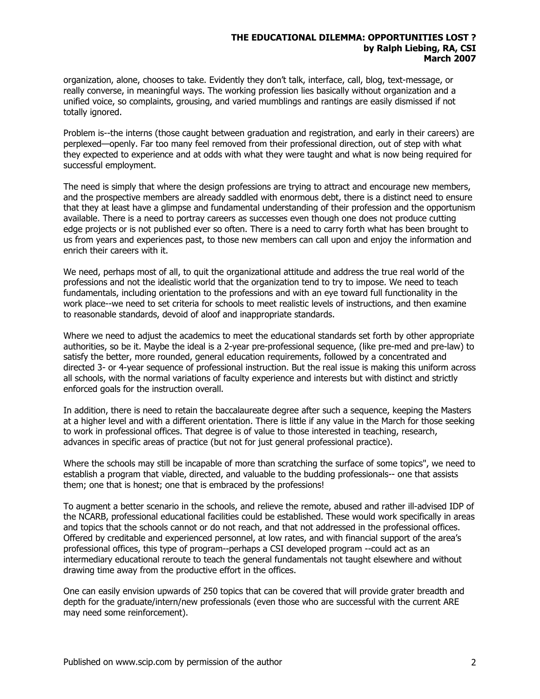## **THE EDUCATIONAL DILEMMA: OPPORTUNITIES LOST ? by Ralph Liebing, RA, CSI March 2007**

organization, alone, chooses to take. Evidently they don't talk, interface, call, blog, text-message, or really converse, in meaningful ways. The working profession lies basically without organization and a unified voice, so complaints, grousing, and varied mumblings and rantings are easily dismissed if not totally ignored.

Problem is--the interns (those caught between graduation and registration, and early in their careers) are perplexed—openly. Far too many feel removed from their professional direction, out of step with what they expected to experience and at odds with what they were taught and what is now being required for successful employment.

The need is simply that where the design professions are trying to attract and encourage new members, and the prospective members are already saddled with enormous debt, there is a distinct need to ensure that they at least have a glimpse and fundamental understanding of their profession and the opportunism available. There is a need to portray careers as successes even though one does not produce cutting edge projects or is not published ever so often. There is a need to carry forth what has been brought to us from years and experiences past, to those new members can call upon and enjoy the information and enrich their careers with it.

We need, perhaps most of all, to quit the organizational attitude and address the true real world of the professions and not the idealistic world that the organization tend to try to impose. We need to teach fundamentals, including orientation to the professions and with an eye toward full functionality in the work place--we need to set criteria for schools to meet realistic levels of instructions, and then examine to reasonable standards, devoid of aloof and inappropriate standards.

Where we need to adjust the academics to meet the educational standards set forth by other appropriate authorities, so be it. Maybe the ideal is a 2-year pre-professional sequence, (like pre-med and pre-law) to satisfy the better, more rounded, general education requirements, followed by a concentrated and directed 3- or 4-year sequence of professional instruction. But the real issue is making this uniform across all schools, with the normal variations of faculty experience and interests but with distinct and strictly enforced goals for the instruction overall.

In addition, there is need to retain the baccalaureate degree after such a sequence, keeping the Masters at a higher level and with a different orientation. There is little if any value in the March for those seeking to work in professional offices. That degree is of value to those interested in teaching, research, advances in specific areas of practice (but not for just general professional practice).

Where the schools may still be incapable of more than scratching the surface of some topics", we need to establish a program that viable, directed, and valuable to the budding professionals-- one that assists them; one that is honest; one that is embraced by the professions!

To augment a better scenario in the schools, and relieve the remote, abused and rather ill-advised IDP of the NCARB, professional educational facilities could be established. These would work specifically in areas and topics that the schools cannot or do not reach, and that not addressed in the professional offices. Offered by creditable and experienced personnel, at low rates, and with financial support of the area's professional offices, this type of program--perhaps a CSI developed program --could act as an intermediary educational reroute to teach the general fundamentals not taught elsewhere and without drawing time away from the productive effort in the offices.

One can easily envision upwards of 250 topics that can be covered that will provide grater breadth and depth for the graduate/intern/new professionals (even those who are successful with the current ARE may need some reinforcement).